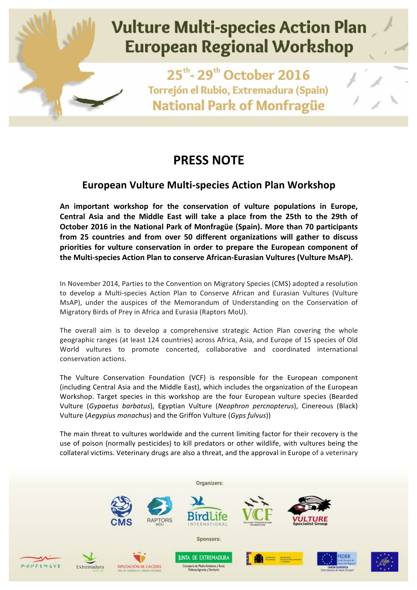

## **PRESS NOTE**

## **European Vulture Multi-species Action Plan Workshop**

An important workshop for the conservation of vulture populations in Europe, Central Asia and the Middle East will take a place from the 25th to the 29th of **October 2016 in the National Park of Monfragüe (Spain). More than 70 participants** from 25 countries and from over 50 different organizations will gather to discuss priorities for vulture conservation in order to prepare the European component of **the Multi-species Action Plan to conserve African-Eurasian Vultures (Vulture MsAP).** 

In November 2014, Parties to the Convention on Migratory Species (CMS) adopted a resolution to develop a Multi-species Action Plan to Conserve African and Eurasian Vultures (Vulture MsAP), under the auspices of the Memorandum of Understanding on the Conservation of Migratory Birds of Prey in Africa and Eurasia (Raptors MoU).

The overall aim is to develop a comprehensive strategic Action Plan covering the whole geographic ranges (at least 124 countries) across Africa, Asia, and Europe of 15 species of Old World vultures to promote concerted, collaborative and coordinated international conservation actions.

The Vulture Conservation Foundation (VCF) is responsible for the European component (including Central Asia and the Middle East), which includes the organization of the European Workshop. Target species in this workshop are the four European vulture species (Bearded Vulture (Gypaetus barbatus), Egyptian Vulture (Neophron percnopterus), Cinereous (Black) Vulture (Aegypius monachus) and the Griffon Vulture (Gyps fulvus))

The main threat to vultures worldwide and the current limiting factor for their recovery is the use of poison (normally pesticides) to kill predators or other wildlife, with vultures being the collateral victims. Veterinary drugs are also a threat, and the approval in Europe of a veterinary